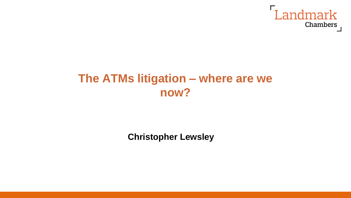

# **The ATMs litigation – where are we now?**

**Christopher Lewsley**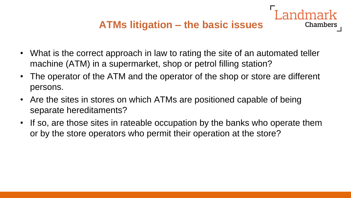#### **ATMs litigation – the basic issues**

- What is the correct approach in law to rating the site of an automated teller machine (ATM) in a supermarket, shop or petrol filling station?
- The operator of the ATM and the operator of the shop or store are different persons.
- Are the sites in stores on which ATMs are positioned capable of being separate hereditaments?
- If so, are those sites in rateable occupation by the banks who operate them or by the store operators who permit their operation at the store?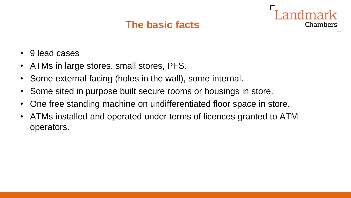#### **The basic facts**

- 9 lead cases
- ATMs in large stores, small stores, PFS.
- Some external facing (holes in the wall), some internal.
- Some sited in purpose built secure rooms or housings in store.
- One free standing machine on undifferentiated floor space in store.
- ATMs installed and operated under terms of licences granted to ATM operators.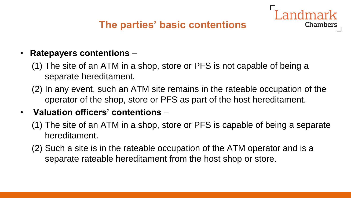

- (1) The site of an ATM in a shop, store or PFS is not capable of being a separate hereditament.
- (2) In any event, such an ATM site remains in the rateable occupation of the operator of the shop, store or PFS as part of the host hereditament.
- **Valuation officers' contentions** 
	- (1) The site of an ATM in a shop, store or PFS is capable of being a separate hereditament.
	- (2) Such a site is in the rateable occupation of the ATM operator and is a separate rateable hereditament from the host shop or store.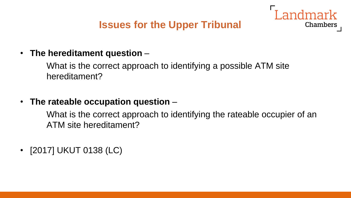andmark

Chambers



What is the correct approach to identifying a possible ATM site hereditament?

• **The rateable occupation question** –

What is the correct approach to identifying the rateable occupier of an ATM site hereditament?

• [2017] UKUT 0138 (LC)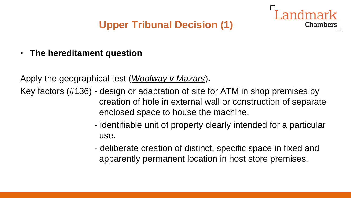# **Upper Tribunal Decision (1)**

• **The hereditament question**

Apply the geographical test (*Woolway v Mazars*).

Key factors (#136) - design or adaptation of site for ATM in shop premises by creation of hole in external wall or construction of separate enclosed space to house the machine.

> - identifiable unit of property clearly intended for a particular use.

**Chambers** 

- deliberate creation of distinct, specific space in fixed and apparently permanent location in host store premises.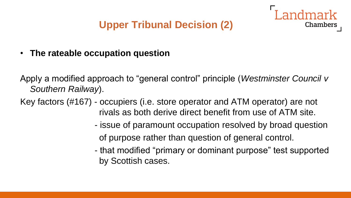# **Upper Tribunal Decision (2)**

• **The rateable occupation question**

Apply a modified approach to "general control" principle (*Westminster Council v Southern Railway*).

Key factors (#167) - occupiers (i.e. store operator and ATM operator) are not rivals as both derive direct benefit from use of ATM site.

> - issue of paramount occupation resolved by broad question of purpose rather than question of general control.

Chambers

- that modified "primary or dominant purpose" test supported by Scottish cases.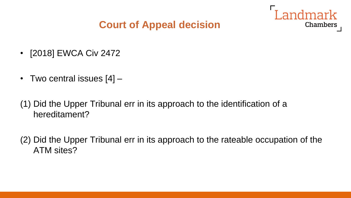#### **Court of Appeal decision**



- [2018] EWCA Civ 2472
- Two central issues  $[4]$  –
- (1) Did the Upper Tribunal err in its approach to the identification of a hereditament?
- (2) Did the Upper Tribunal err in its approach to the rateable occupation of the ATM sites?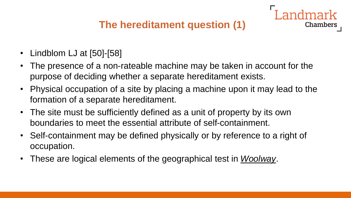# **The hereditament question (1)**

- Lindblom LJ at [50]-[58]
- The presence of a non-rateable machine may be taken in account for the purpose of deciding whether a separate hereditament exists.
- Physical occupation of a site by placing a machine upon it may lead to the formation of a separate hereditament.
- The site must be sufficiently defined as a unit of property by its own boundaries to meet the essential attribute of self-containment.
- Self-containment may be defined physically or by reference to a right of occupation.
- These are logical elements of the geographical test in *Woolway*.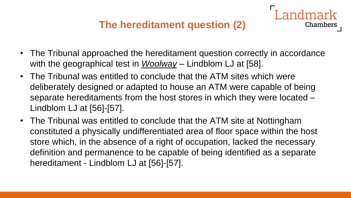

- The Tribunal approached the hereditament question correctly in accordance with the geographical test in *Woolway* – Lindblom LJ at [58].
- The Tribunal was entitled to conclude that the ATM sites which were deliberately designed or adapted to house an ATM were capable of being separate hereditaments from the host stores in which they were located – Lindblom LJ at [56]-[57].
- The Tribunal was entitled to conclude that the ATM site at Nottingham constituted a physically undifferentiated area of floor space within the host store which, in the absence of a right of occupation, lacked the necessary definition and permanence to be capable of being identified as a separate hereditament - Lindblom LJ at [56]-[57].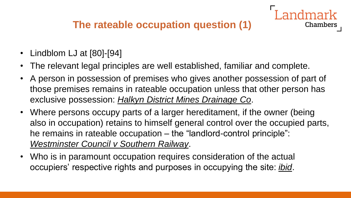# **The rateable occupation question (1)**

- Lindblom LJ at [80]-[94]
- The relevant legal principles are well established, familiar and complete.
- A person in possession of premises who gives another possession of part of those premises remains in rateable occupation unless that other person has exclusive possession: *Halkyn District Mines Drainage Co*.
- Where persons occupy parts of a larger hereditament, if the owner (being also in occupation) retains to himself general control over the occupied parts, he remains in rateable occupation – the "landlord-control principle": *Westminster Council v Southern Railway*.
- Who is in paramount occupation requires consideration of the actual occupiers' respective rights and purposes in occupying the site: *ibid*.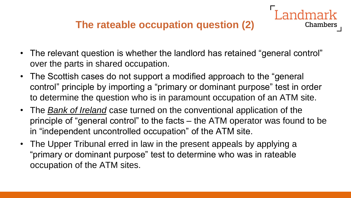• The relevant question is whether the landlord has retained "general control" over the parts in shared occupation.

- The Scottish cases do not support a modified approach to the "general control" principle by importing a "primary or dominant purpose" test in order to determine the question who is in paramount occupation of an ATM site.
- The *Bank of Ireland* case turned on the conventional application of the principle of "general control" to the facts – the ATM operator was found to be in "independent uncontrolled occupation" of the ATM site.
- The Upper Tribunal erred in law in the present appeals by applying a "primary or dominant purpose" test to determine who was in rateable occupation of the ATM sites.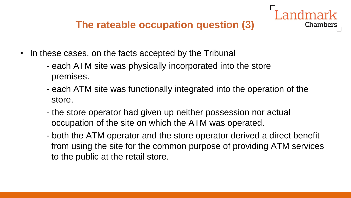## **The rateable occupation question (3)**

- In these cases, on the facts accepted by the Tribunal
	- each ATM site was physically incorporated into the store premises.
	- each ATM site was functionally integrated into the operation of the store.

- the store operator had given up neither possession nor actual occupation of the site on which the ATM was operated.
- both the ATM operator and the store operator derived a direct benefit from using the site for the common purpose of providing ATM services to the public at the retail store.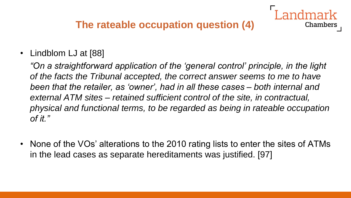• Lindblom LJ at [88]

*"On a straightforward application of the 'general control' principle, in the light of the facts the Tribunal accepted, the correct answer seems to me to have been that the retailer, as 'owner', had in all these cases – both internal and external ATM sites – retained sufficient control of the site, in contractual, physical and functional terms, to be regarded as being in rateable occupation of it."* 

Chambers

• None of the VOs' alterations to the 2010 rating lists to enter the sites of ATMs in the lead cases as separate hereditaments was justified. [97]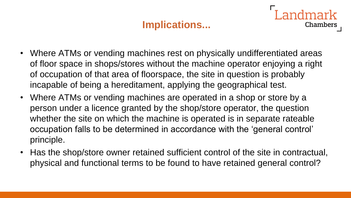# **Implications...**

- Where ATMs or vending machines rest on physically undifferentiated areas of floor space in shops/stores without the machine operator enjoying a right of occupation of that area of floorspace, the site in question is probably incapable of being a hereditament, applying the geographical test.
- Where ATMs or vending machines are operated in a shop or store by a person under a licence granted by the shop/store operator, the question whether the site on which the machine is operated is in separate rateable occupation falls to be determined in accordance with the 'general control' principle.
- Has the shop/store owner retained sufficient control of the site in contractual, physical and functional terms to be found to have retained general control?